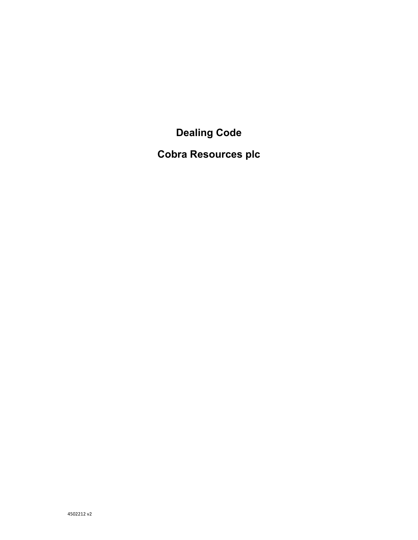**Dealing Code** 

**Cobra Resources plc**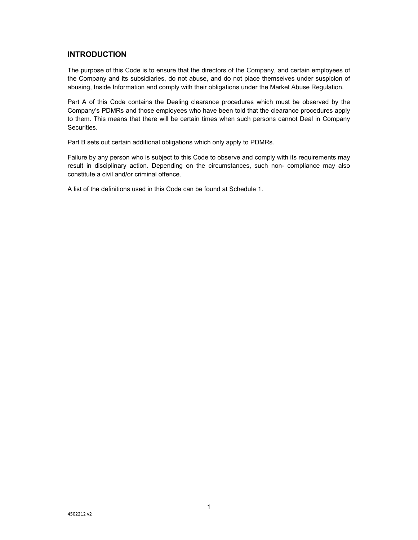# **INTRODUCTION**

The purpose of this Code is to ensure that the directors of the Company, and certain employees of the Company and its subsidiaries, do not abuse, and do not place themselves under suspicion of abusing, Inside Information and comply with their obligations under the Market Abuse Regulation.

Part A of this Code contains the Dealing clearance procedures which must be observed by the Company's PDMRs and those employees who have been told that the clearance procedures apply to them. This means that there will be certain times when such persons cannot Deal in Company Securities.

Part B sets out certain additional obligations which only apply to PDMRs.

Failure by any person who is subject to this Code to observe and comply with its requirements may result in disciplinary action. Depending on the circumstances, such non- compliance may also constitute a civil and/or criminal offence.

A list of the definitions used in this Code can be found at Schedule 1.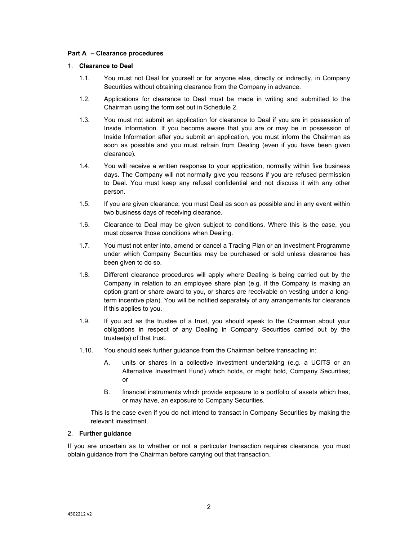### **Part A – Clearance procedures**

### 1. **Clearance to Deal**

- 1.1. You must not Deal for yourself or for anyone else, directly or indirectly, in Company Securities without obtaining clearance from the Company in advance.
- 1.2. Applications for clearance to Deal must be made in writing and submitted to the Chairman using the form set out in Schedule 2.
- 1.3. You must not submit an application for clearance to Deal if you are in possession of Inside Information. If you become aware that you are or may be in possession of Inside Information after you submit an application, you must inform the Chairman as soon as possible and you must refrain from Dealing (even if you have been given clearance).
- 1.4. You will receive a written response to your application, normally within five business days. The Company will not normally give you reasons if you are refused permission to Deal. You must keep any refusal confidential and not discuss it with any other person.
- 1.5. If you are given clearance, you must Deal as soon as possible and in any event within two business days of receiving clearance.
- 1.6. Clearance to Deal may be given subject to conditions. Where this is the case, you must observe those conditions when Dealing.
- 1.7. You must not enter into, amend or cancel a Trading Plan or an Investment Programme under which Company Securities may be purchased or sold unless clearance has been given to do so.
- 1.8. Different clearance procedures will apply where Dealing is being carried out by the Company in relation to an employee share plan (e.g. if the Company is making an option grant or share award to you, or shares are receivable on vesting under a longterm incentive plan). You will be notified separately of any arrangements for clearance if this applies to you.
- 1.9. If you act as the trustee of a trust, you should speak to the Chairman about your obligations in respect of any Dealing in Company Securities carried out by the trustee(s) of that trust.
- 1.10. You should seek further guidance from the Chairman before transacting in:
	- A. units or shares in a collective investment undertaking (e.g. a UCITS or an Alternative Investment Fund) which holds, or might hold, Company Securities; or
	- B. financial instruments which provide exposure to a portfolio of assets which has, or may have, an exposure to Company Securities.

This is the case even if you do not intend to transact in Company Securities by making the relevant investment.

# 2. **Further guidance**

If you are uncertain as to whether or not a particular transaction requires clearance, you must obtain guidance from the Chairman before carrying out that transaction.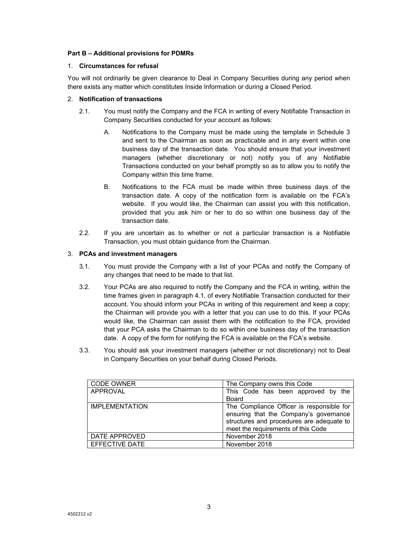# **Part B – Additional provisions for PDMRs**

# 1. **Circumstances for refusal**

You will not ordinarily be given clearance to Deal in Company Securities during any period when there exists any matter which constitutes Inside Information or during a Closed Period.

# 2. **Notification of transactions**

- 2.1. You must notify the Company and the FCA in writing of every Notifiable Transaction in Company Securities conducted for your account as follows:
	- A. Notifications to the Company must be made using the template in Schedule 3 and sent to the Chairman as soon as practicable and in any event within one business day of the transaction date. You should ensure that your investment managers (whether discretionary or not) notify you of any Notifiable Transactions conducted on your behalf promptly so as to allow you to notify the Company within this time frame.
	- B. Notifications to the FCA must be made within three business days of the transaction date. A copy of the notification form is available on the FCA's website. If you would like, the Chairman can assist you with this notification, provided that you ask him or her to do so within one business day of the transaction date.
- 2.2. If you are uncertain as to whether or not a particular transaction is a Notifiable Transaction, you must obtain guidance from the Chairman.

# 3. **PCAs and investment managers**

- 3.1. You must provide the Company with a list of your PCAs and notify the Company of any changes that need to be made to that list.
- 3.2. Your PCAs are also required to notify the Company and the FCA in writing, within the time frames given in paragraph 4.1, of every Notifiable Transaction conducted for their account. You should inform your PCAs in writing of this requirement and keep a copy; the Chairman will provide you with a letter that you can use to do this. If your PCAs would like, the Chairman can assist them with the notification to the FCA, provided that your PCA asks the Chairman to do so within one business day of the transaction date. A copy of the form for notifying the FCA is available on the FCA's website.
- 3.3. You should ask your investment managers (whether or not discretionary) not to Deal in Company Securities on your behalf during Closed Periods.

| <b>CODE OWNER</b>     | The Company owns this Code                                                                                                                                             |  |  |
|-----------------------|------------------------------------------------------------------------------------------------------------------------------------------------------------------------|--|--|
| APPROVAL              | This Code has been approved by the                                                                                                                                     |  |  |
|                       | Board                                                                                                                                                                  |  |  |
| <b>IMPLEMENTATION</b> | The Compliance Officer is responsible for<br>ensuring that the Company's governance<br>structures and procedures are adequate to<br>meet the requirements of this Code |  |  |
| DATE APPROVED         | November 2018                                                                                                                                                          |  |  |
| <b>FFFECTIVE DATE</b> | November 2018                                                                                                                                                          |  |  |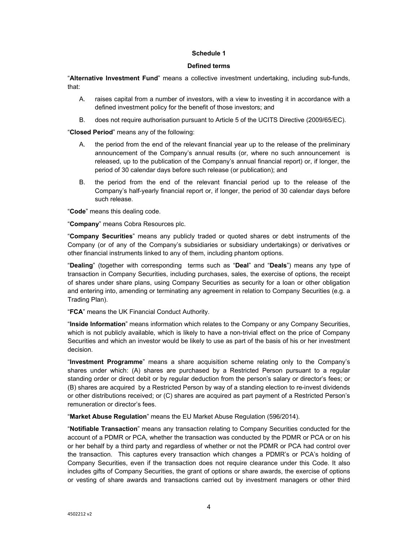#### **Schedule 1**

#### **Defined terms**

"**Alternative Investment Fund**" means a collective investment undertaking, including sub-funds, that:

- A. raises capital from a number of investors, with a view to investing it in accordance with a defined investment policy for the benefit of those investors; and
- B. does not require authorisation pursuant to Article 5 of the UCITS Directive (2009/65/EC).

"**Closed Period**" means any of the following:

- A. the period from the end of the relevant financial year up to the release of the preliminary announcement of the Company's annual results (or, where no such announcement is released, up to the publication of the Company's annual financial report) or, if longer, the period of 30 calendar days before such release (or publication); and
- B. the period from the end of the relevant financial period up to the release of the Company's half-yearly financial report or, if longer, the period of 30 calendar days before such release.

"**Code**" means this dealing code.

"**Company**" means Cobra Resources plc.

"**Company Securities**" means any publicly traded or quoted shares or debt instruments of the Company (or of any of the Company's subsidiaries or subsidiary undertakings) or derivatives or other financial instruments linked to any of them, including phantom options.

"**Dealing**" (together with corresponding terms such as "**Deal**" and "**Deals**") means any type of transaction in Company Securities, including purchases, sales, the exercise of options, the receipt of shares under share plans, using Company Securities as security for a loan or other obligation and entering into, amending or terminating any agreement in relation to Company Securities (e.g. a Trading Plan).

"**FCA**" means the UK Financial Conduct Authority.

"**Inside Information**" means information which relates to the Company or any Company Securities, which is not publicly available, which is likely to have a non-trivial effect on the price of Company Securities and which an investor would be likely to use as part of the basis of his or her investment decision.

"**Investment Programme**" means a share acquisition scheme relating only to the Company's shares under which: (A) shares are purchased by a Restricted Person pursuant to a regular standing order or direct debit or by regular deduction from the person's salary or director's fees; or (B) shares are acquired by a Restricted Person by way of a standing election to re-invest dividends or other distributions received; or (C) shares are acquired as part payment of a Restricted Person's remuneration or director's fees.

"**Market Abuse Regulation**" means the EU Market Abuse Regulation (596/2014).

"**Notifiable Transaction**" means any transaction relating to Company Securities conducted for the account of a PDMR or PCA, whether the transaction was conducted by the PDMR or PCA or on his or her behalf by a third party and regardless of whether or not the PDMR or PCA had control over the transaction. This captures every transaction which changes a PDMR's or PCA's holding of Company Securities, even if the transaction does not require clearance under this Code. It also includes gifts of Company Securities, the grant of options or share awards, the exercise of options or vesting of share awards and transactions carried out by investment managers or other third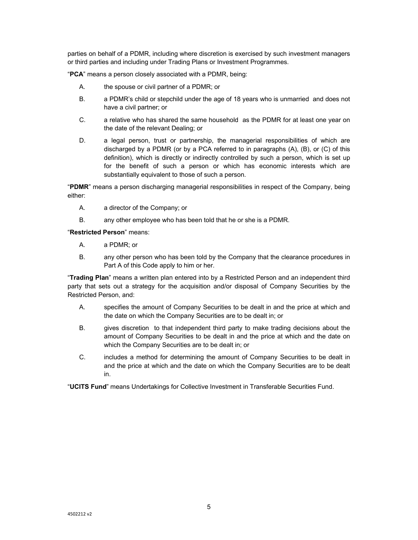parties on behalf of a PDMR, including where discretion is exercised by such investment managers or third parties and including under Trading Plans or Investment Programmes.

"**PCA**" means a person closely associated with a PDMR, being:

- A. the spouse or civil partner of a PDMR; or
- B. a PDMR's child or stepchild under the age of 18 years who is unmarried and does not have a civil partner; or
- C. a relative who has shared the same household as the PDMR for at least one year on the date of the relevant Dealing; or
- D. a legal person, trust or partnership, the managerial responsibilities of which are discharged by a PDMR (or by a PCA referred to in paragraphs (A), (B), or (C) of this definition), which is directly or indirectly controlled by such a person, which is set up for the benefit of such a person or which has economic interests which are substantially equivalent to those of such a person.

"**PDMR**" means a person discharging managerial responsibilities in respect of the Company, being either:

- A. a director of the Company; or
- B. any other employee who has been told that he or she is a PDMR.

"**Restricted Person**" means:

- A. a PDMR; or
- B. any other person who has been told by the Company that the clearance procedures in Part A of this Code apply to him or her.

"**Trading Plan**" means a written plan entered into by a Restricted Person and an independent third party that sets out a strategy for the acquisition and/or disposal of Company Securities by the Restricted Person, and:

- A. specifies the amount of Company Securities to be dealt in and the price at which and the date on which the Company Securities are to be dealt in; or
- B. gives discretion to that independent third party to make trading decisions about the amount of Company Securities to be dealt in and the price at which and the date on which the Company Securities are to be dealt in; or
- C. includes a method for determining the amount of Company Securities to be dealt in and the price at which and the date on which the Company Securities are to be dealt in.

"**UCITS Fund**" means Undertakings for Collective Investment in Transferable Securities Fund.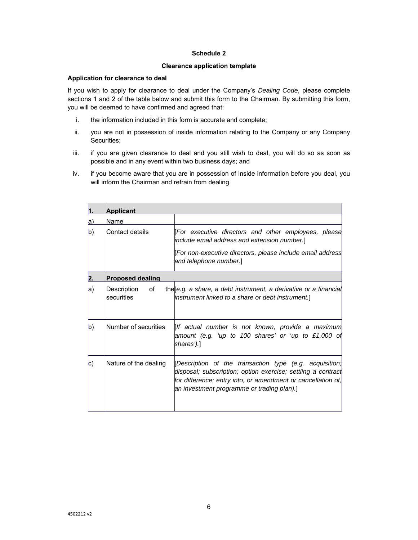# **Schedule 2**

### **Clearance application template**

#### **Application for clearance to deal**

If you wish to apply for clearance to deal under the Company's *Dealing Code*, please complete sections 1 and 2 of the table below and submit this form to the Chairman. By submitting this form, you will be deemed to have confirmed and agreed that:

- i. the information included in this form is accurate and complete;
- ii. you are not in possession of inside information relating to the Company or any Company Securities;
- iii. if you are given clearance to deal and you still wish to deal, you will do so as soon as possible and in any event within two business days; and
- iv. if you become aware that you are in possession of inside information before you deal, you will inform the Chairman and refrain from dealing.

|            | <b>Applicant</b>                |                                                                                                                                                                                                                                       |  |
|------------|---------------------------------|---------------------------------------------------------------------------------------------------------------------------------------------------------------------------------------------------------------------------------------|--|
| a)         | Name                            |                                                                                                                                                                                                                                       |  |
| b)         | lContact details                | [For executive directors and other employees, please<br>include email address and extension number.]                                                                                                                                  |  |
|            |                                 | [For non-executive directors, please include email address<br>and telephone number.]                                                                                                                                                  |  |
| 2.         | <b>Proposed dealing</b>         |                                                                                                                                                                                                                                       |  |
| a)         | Description<br>of<br>securities | the e.g. a share, a debt instrument, a derivative or a financial<br>instrument linked to a share or debt instrument.]                                                                                                                 |  |
| b)         | Number of securities            | [If actual number is not known, provide a maximum<br>amount (e.g. 'up to 100 shares' or 'up to £1,000 of<br>shares').]                                                                                                                |  |
| $\vert c)$ | Nature of the dealing           | [Description of the transaction type (e.g. acquisition;<br>disposal; subscription; option exercise; settling a contract<br>for difference; entry into, or amendment or cancellation of,<br>an investment programme or trading plan).] |  |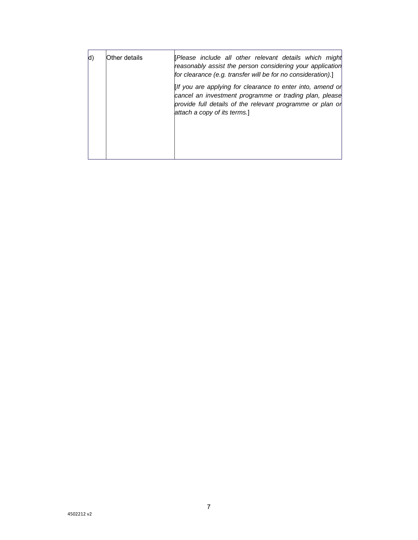| d) | Other details | [Please include all other relevant details which might<br>reasonably assist the person considering your application<br>for clearance (e.g. transfer will be for no consideration).]                               |
|----|---------------|-------------------------------------------------------------------------------------------------------------------------------------------------------------------------------------------------------------------|
|    |               | [If you are applying for clearance to enter into, amend or<br>cancel an investment programme or trading plan, please<br>provide full details of the relevant programme or plan or<br>attach a copy of its terms.] |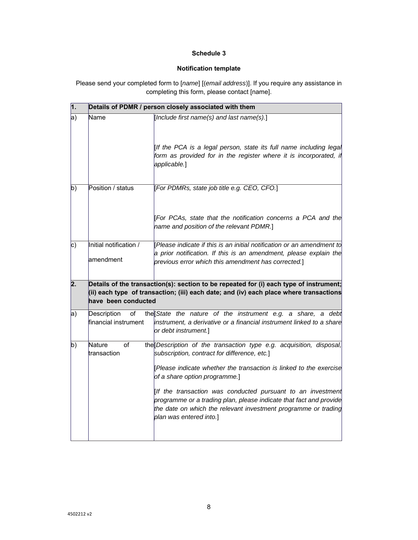# **Schedule 3**

# **Notification template**

Please send your completed form to [*name*] [(*email address*)]. If you require any assistance in completing this form, please contact [name].

| $\vert$ 1. | Details of PDMR / person closely associated with them                                                                                                                                                   |                                                                                                                                                                                                                                |  |
|------------|---------------------------------------------------------------------------------------------------------------------------------------------------------------------------------------------------------|--------------------------------------------------------------------------------------------------------------------------------------------------------------------------------------------------------------------------------|--|
| a)         | Name                                                                                                                                                                                                    | [Include first name(s) and last name(s).]<br>[If the PCA is a legal person, state its full name including legal                                                                                                                |  |
|            |                                                                                                                                                                                                         | form as provided for in the register where it is incorporated, if<br>applicable.]                                                                                                                                              |  |
| b)         | Position / status                                                                                                                                                                                       | [For PDMRs, state job title e.g. CEO, CFO.]                                                                                                                                                                                    |  |
|            |                                                                                                                                                                                                         | [For PCAs, state that the notification concerns a PCA and the<br>name and position of the relevant PDMR.]                                                                                                                      |  |
| $\vert c)$ | Initial notification /<br>lamendment                                                                                                                                                                    | Please indicate if this is an initial notification or an amendment to<br>a prior notification. If this is an amendment, please explain the<br>previous error which this amendment has corrected.]                              |  |
| 2.         | Details of the transaction(s): section to be repeated for (i) each type of instrument;<br>(ii) each type of transaction; (iii) each date; and (iv) each place where transactions<br>have been conducted |                                                                                                                                                                                                                                |  |
| a)         | Description<br>оf<br>financial instrument                                                                                                                                                               | the State the nature of the instrument e.g. a share, a debt<br>instrument, a derivative or a financial instrument linked to a share<br>or debt instrument.]                                                                    |  |
| b)         | <b>Nature</b><br>of<br>transaction                                                                                                                                                                      | the Description of the transaction type e.g. acquisition, disposal,<br>subscription, contract for difference, etc.]                                                                                                            |  |
|            |                                                                                                                                                                                                         | Please indicate whether the transaction is linked to the exercise<br>of a share option programme.]                                                                                                                             |  |
|            |                                                                                                                                                                                                         | [If the transaction was conducted pursuant to an investment<br>programme or a trading plan, please indicate that fact and provide<br>the date on which the relevant investment programme or trading<br>plan was entered into.] |  |